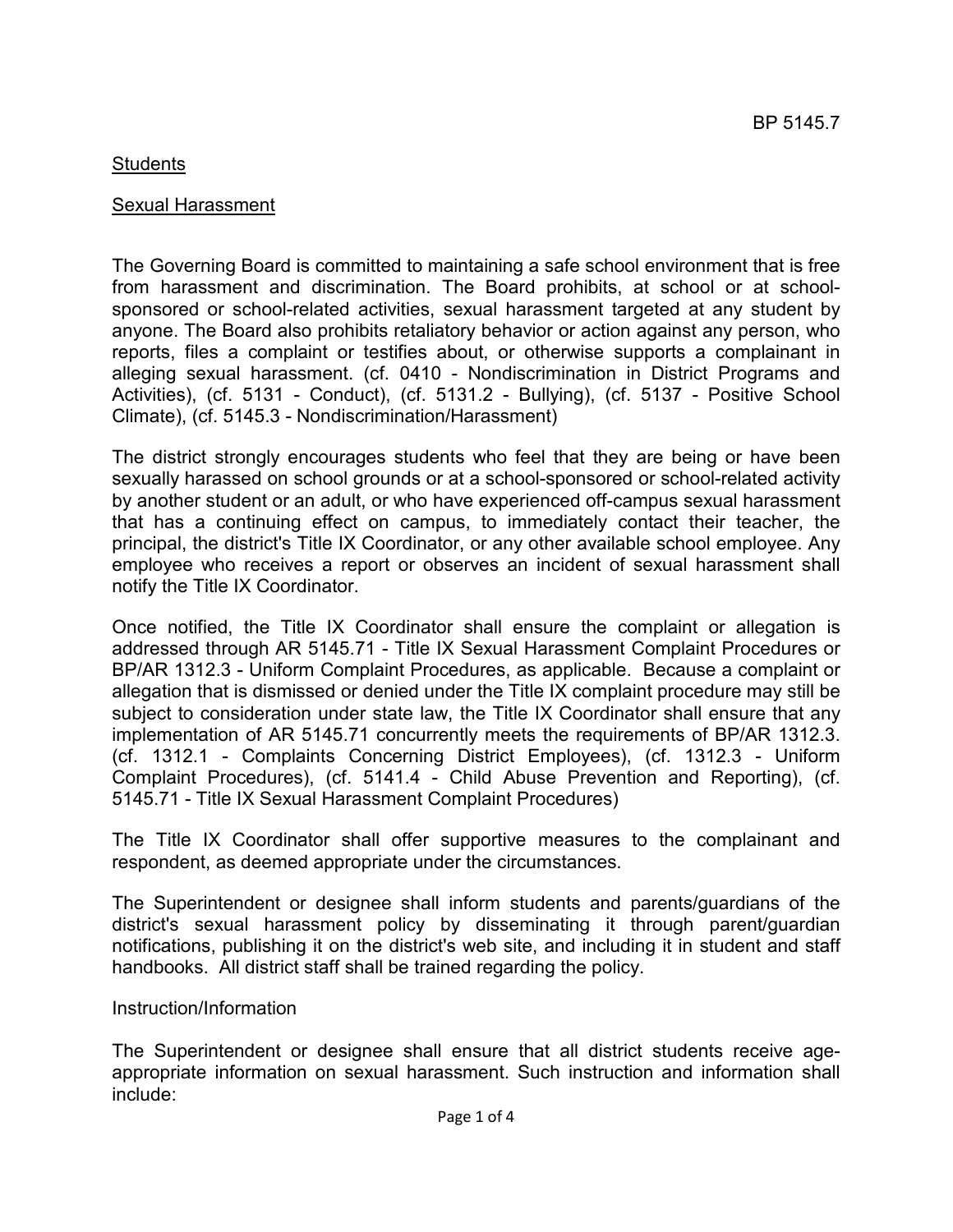### Sexual Harassment

The Governing Board is committed to maintaining a safe school environment that is free from harassment and discrimination. The Board prohibits, at school or at schoolsponsored or school-related activities, sexual harassment targeted at any student by anyone. The Board also prohibits retaliatory behavior or action against any person, who reports, files a complaint or testifies about, or otherwise supports a complainant in alleging sexual harassment. (cf. 0410 - Nondiscrimination in District Programs and Activities), (cf. 5131 - Conduct), (cf. 5131.2 - Bullying), (cf. 5137 - Positive School Climate), (cf. 5145.3 - Nondiscrimination/Harassment)

The district strongly encourages students who feel that they are being or have been sexually harassed on school grounds or at a school-sponsored or school-related activity by another student or an adult, or who have experienced off-campus sexual harassment that has a continuing effect on campus, to immediately contact their teacher, the principal, the district's Title IX Coordinator, or any other available school employee. Any employee who receives a report or observes an incident of sexual harassment shall notify the Title IX Coordinator.

Once notified, the Title IX Coordinator shall ensure the complaint or allegation is addressed through AR 5145.71 - Title IX Sexual Harassment Complaint Procedures or BP/AR 1312.3 - Uniform Complaint Procedures, as applicable. Because a complaint or allegation that is dismissed or denied under the Title IX complaint procedure may still be subject to consideration under state law, the Title IX Coordinator shall ensure that any implementation of AR 5145.71 concurrently meets the requirements of BP/AR 1312.3. (cf. 1312.1 - Complaints Concerning District Employees), (cf. 1312.3 - Uniform Complaint Procedures), (cf. 5141.4 - Child Abuse Prevention and Reporting), (cf. 5145.71 - Title IX Sexual Harassment Complaint Procedures)

The Title IX Coordinator shall offer supportive measures to the complainant and respondent, as deemed appropriate under the circumstances.

The Superintendent or designee shall inform students and parents/guardians of the district's sexual harassment policy by disseminating it through parent/guardian notifications, publishing it on the district's web site, and including it in student and staff handbooks. All district staff shall be trained regarding the policy.

### Instruction/Information

The Superintendent or designee shall ensure that all district students receive ageappropriate information on sexual harassment. Such instruction and information shall include: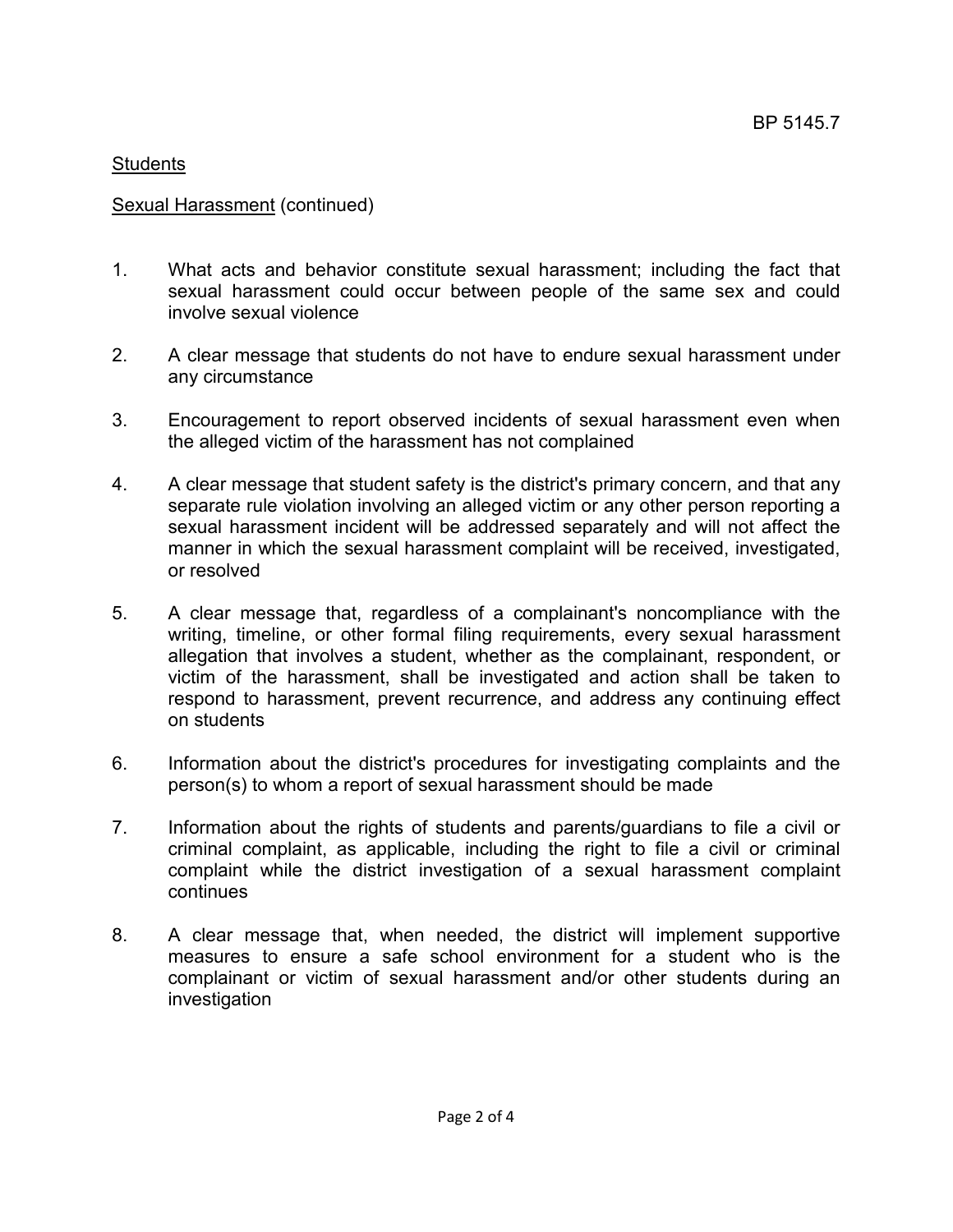# Sexual Harassment (continued)

- 1. What acts and behavior constitute sexual harassment; including the fact that sexual harassment could occur between people of the same sex and could involve sexual violence
- 2. A clear message that students do not have to endure sexual harassment under any circumstance
- 3. Encouragement to report observed incidents of sexual harassment even when the alleged victim of the harassment has not complained
- 4. A clear message that student safety is the district's primary concern, and that any separate rule violation involving an alleged victim or any other person reporting a sexual harassment incident will be addressed separately and will not affect the manner in which the sexual harassment complaint will be received, investigated, or resolved
- 5. A clear message that, regardless of a complainant's noncompliance with the writing, timeline, or other formal filing requirements, every sexual harassment allegation that involves a student, whether as the complainant, respondent, or victim of the harassment, shall be investigated and action shall be taken to respond to harassment, prevent recurrence, and address any continuing effect on students
- 6. Information about the district's procedures for investigating complaints and the person(s) to whom a report of sexual harassment should be made
- 7. Information about the rights of students and parents/guardians to file a civil or criminal complaint, as applicable, including the right to file a civil or criminal complaint while the district investigation of a sexual harassment complaint continues
- 8. A clear message that, when needed, the district will implement supportive measures to ensure a safe school environment for a student who is the complainant or victim of sexual harassment and/or other students during an investigation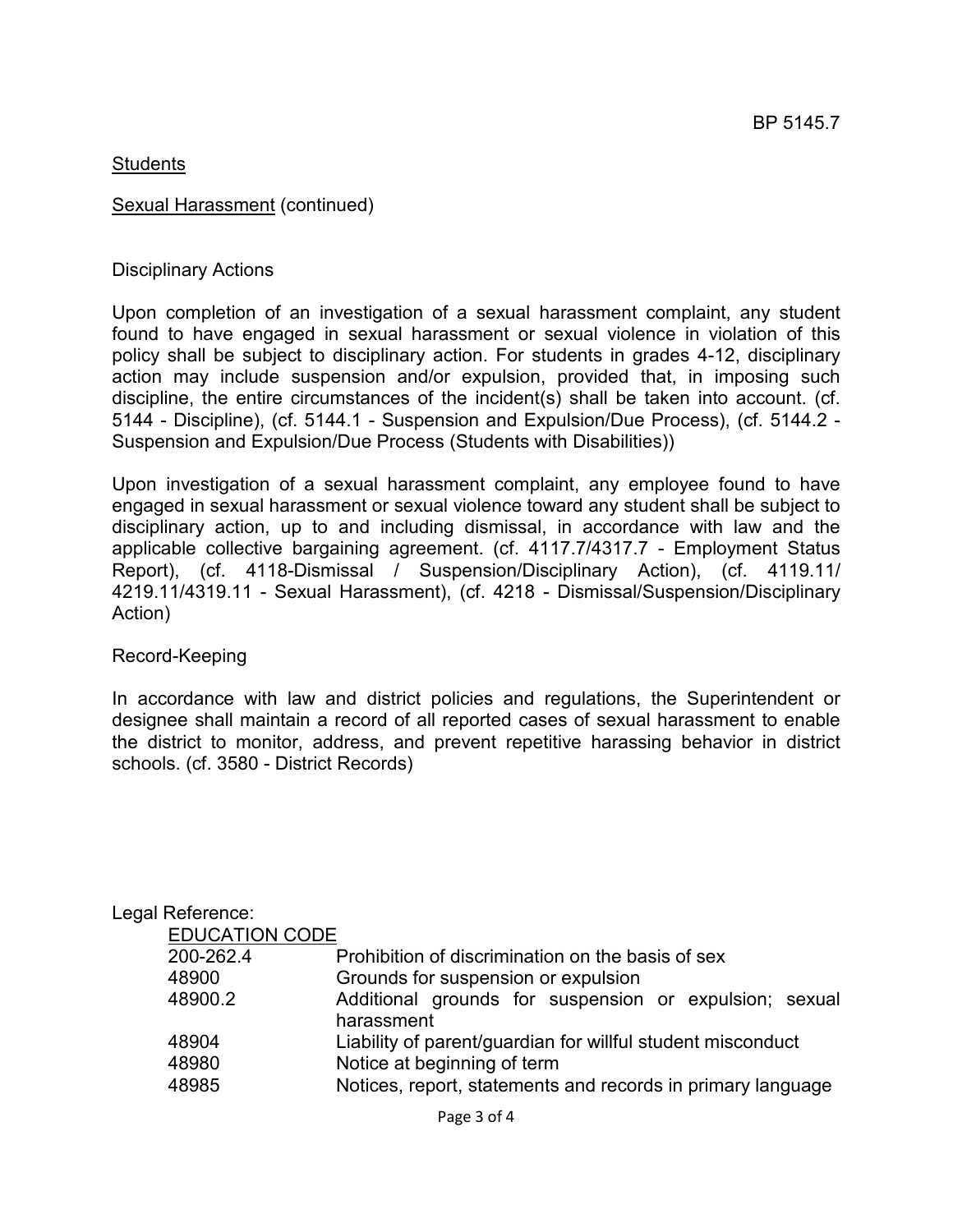### Sexual Harassment (continued)

#### Disciplinary Actions

Upon completion of an investigation of a sexual harassment complaint, any student found to have engaged in sexual harassment or sexual violence in violation of this policy shall be subject to disciplinary action. For students in grades 4-12, disciplinary action may include suspension and/or expulsion, provided that, in imposing such discipline, the entire circumstances of the incident(s) shall be taken into account. (cf. 5144 - Discipline), (cf. 5144.1 - Suspension and Expulsion/Due Process), (cf. 5144.2 - Suspension and Expulsion/Due Process (Students with Disabilities))

Upon investigation of a sexual harassment complaint, any employee found to have engaged in sexual harassment or sexual violence toward any student shall be subject to disciplinary action, up to and including dismissal, in accordance with law and the applicable collective bargaining agreement. (cf. 4117.7/4317.7 - Employment Status Report), (cf. 4118-Dismissal / Suspension/Disciplinary Action), (cf. 4119.11/ 4219.11/4319.11 - Sexual Harassment), (cf. 4218 - Dismissal/Suspension/Disciplinary Action)

#### Record-Keeping

In accordance with law and district policies and regulations, the Superintendent or designee shall maintain a record of all reported cases of sexual harassment to enable the district to monitor, address, and prevent repetitive harassing behavior in district schools. (cf. 3580 - District Records)

| Legal Reference:      |                                                                      |
|-----------------------|----------------------------------------------------------------------|
| <b>EDUCATION CODE</b> |                                                                      |
| 200-262.4             | Prohibition of discrimination on the basis of sex                    |
| 48900                 | Grounds for suspension or expulsion                                  |
| 48900.2               | Additional grounds for suspension or expulsion; sexual<br>harassment |
| 48904                 | Liability of parent/guardian for willful student misconduct          |
| 48980                 | Notice at beginning of term                                          |
| 48985                 | Notices, report, statements and records in primary language          |